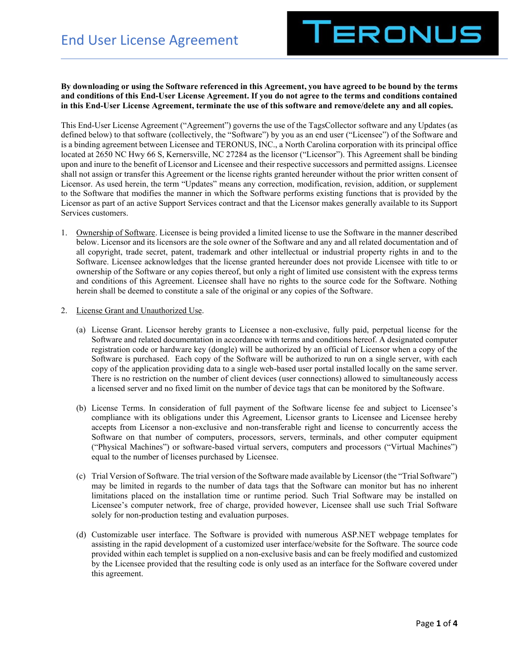

## **By downloading or using the Software referenced in this Agreement, you have agreed to be bound by the terms and conditions of this End-User License Agreement. If you do not agree to the terms and conditions contained in this End-User License Agreement, terminate the use of this software and remove/delete any and all copies.**

This End-User License Agreement ("Agreement") governs the use of the TagsCollector software and any Updates (as defined below) to that software (collectively, the "Software") by you as an end user ("Licensee") of the Software and is a binding agreement between Licensee and TERONUS, INC., a North Carolina corporation with its principal office located at 2650 NC Hwy 66 S, Kernersville, NC 27284 as the licensor ("Licensor"). This Agreement shall be binding upon and inure to the benefit of Licensor and Licensee and their respective successors and permitted assigns. Licensee shall not assign or transfer this Agreement or the license rights granted hereunder without the prior written consent of Licensor. As used herein, the term "Updates" means any correction, modification, revision, addition, or supplement to the Software that modifies the manner in which the Software performs existing functions that is provided by the Licensor as part of an active Support Services contract and that the Licensor makes generally available to its Support Services customers.

- 1. Ownership of Software. Licensee is being provided a limited license to use the Software in the manner described below. Licensor and its licensors are the sole owner of the Software and any and all related documentation and of all copyright, trade secret, patent, trademark and other intellectual or industrial property rights in and to the Software. Licensee acknowledges that the license granted hereunder does not provide Licensee with title to or ownership of the Software or any copies thereof, but only a right of limited use consistent with the express terms and conditions of this Agreement. Licensee shall have no rights to the source code for the Software. Nothing herein shall be deemed to constitute a sale of the original or any copies of the Software.
- 2. License Grant and Unauthorized Use.
	- (a) License Grant. Licensor hereby grants to Licensee a non-exclusive, fully paid, perpetual license for the Software and related documentation in accordance with terms and conditions hereof. A designated computer registration code or hardware key (dongle) will be authorized by an official of Licensor when a copy of the Software is purchased. Each copy of the Software will be authorized to run on a single server, with each copy of the application providing data to a single web-based user portal installed locally on the same server. There is no restriction on the number of client devices (user connections) allowed to simultaneously access a licensed server and no fixed limit on the number of device tags that can be monitored by the Software.
	- (b) License Terms. In consideration of full payment of the Software license fee and subject to Licensee's compliance with its obligations under this Agreement, Licensor grants to Licensee and Licensee hereby accepts from Licensor a non-exclusive and non-transferable right and license to concurrently access the Software on that number of computers, processors, servers, terminals, and other computer equipment ("Physical Machines") or software-based virtual servers, computers and processors ("Virtual Machines") equal to the number of licenses purchased by Licensee.
	- (c) Trial Version of Software. The trial version of the Software made available by Licensor (the "Trial Software") may be limited in regards to the number of data tags that the Software can monitor but has no inherent limitations placed on the installation time or runtime period. Such Trial Software may be installed on Licensee's computer network, free of charge, provided however, Licensee shall use such Trial Software solely for non-production testing and evaluation purposes.
	- (d) Customizable user interface. The Software is provided with numerous ASP.NET webpage templates for assisting in the rapid development of a customized user interface/website for the Software. The source code provided within each templet is supplied on a non-exclusive basis and can be freely modified and customized by the Licensee provided that the resulting code is only used as an interface for the Software covered under this agreement.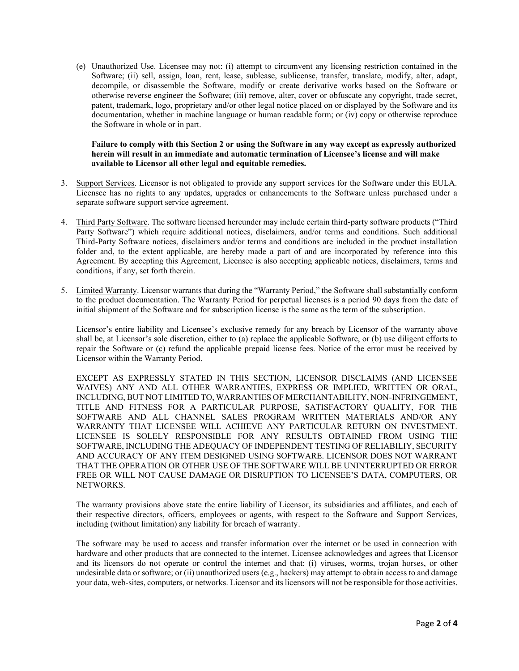(e) Unauthorized Use. Licensee may not: (i) attempt to circumvent any licensing restriction contained in the Software; (ii) sell, assign, loan, rent, lease, sublease, sublicense, transfer, translate, modify, alter, adapt, decompile, or disassemble the Software, modify or create derivative works based on the Software or otherwise reverse engineer the Software; (iii) remove, alter, cover or obfuscate any copyright, trade secret, patent, trademark, logo, proprietary and/or other legal notice placed on or displayed by the Software and its documentation, whether in machine language or human readable form; or (iv) copy or otherwise reproduce the Software in whole or in part.

## **Failure to comply with this Section 2 or using the Software in any way except as expressly authorized herein will result in an immediate and automatic termination of Licensee's license and will make available to Licensor all other legal and equitable remedies.**

- 3. Support Services. Licensor is not obligated to provide any support services for the Software under this EULA. Licensee has no rights to any updates, upgrades or enhancements to the Software unless purchased under a separate software support service agreement.
- 4. Third Party Software. The software licensed hereunder may include certain third-party software products ("Third Party Software") which require additional notices, disclaimers, and/or terms and conditions. Such additional Third-Party Software notices, disclaimers and/or terms and conditions are included in the product installation folder and, to the extent applicable, are hereby made a part of and are incorporated by reference into this Agreement. By accepting this Agreement, Licensee is also accepting applicable notices, disclaimers, terms and conditions, if any, set forth therein.
- 5. Limited Warranty. Licensor warrants that during the "Warranty Period," the Software shall substantially conform to the product documentation. The Warranty Period for perpetual licenses is a period 90 days from the date of initial shipment of the Software and for subscription license is the same as the term of the subscription.

Licensor's entire liability and Licensee's exclusive remedy for any breach by Licensor of the warranty above shall be, at Licensor's sole discretion, either to (a) replace the applicable Software, or (b) use diligent efforts to repair the Software or (c) refund the applicable prepaid license fees. Notice of the error must be received by Licensor within the Warranty Period.

EXCEPT AS EXPRESSLY STATED IN THIS SECTION, LICENSOR DISCLAIMS (AND LICENSEE WAIVES) ANY AND ALL OTHER WARRANTIES, EXPRESS OR IMPLIED, WRITTEN OR ORAL, INCLUDING, BUT NOT LIMITED TO, WARRANTIES OF MERCHANTABILITY, NON-INFRINGEMENT, TITLE AND FITNESS FOR A PARTICULAR PURPOSE, SATISFACTORY QUALITY, FOR THE SOFTWARE AND ALL CHANNEL SALES PROGRAM WRITTEN MATERIALS AND/OR ANY WARRANTY THAT LICENSEE WILL ACHIEVE ANY PARTICULAR RETURN ON INVESTMENT. LICENSEE IS SOLELY RESPONSIBLE FOR ANY RESULTS OBTAINED FROM USING THE SOFTWARE, INCLUDING THE ADEQUACY OF INDEPENDENT TESTING OF RELIABILIY, SECURITY AND ACCURACY OF ANY ITEM DESIGNED USING SOFTWARE. LICENSOR DOES NOT WARRANT THAT THE OPERATION OR OTHER USE OF THE SOFTWARE WILL BE UNINTERRUPTED OR ERROR FREE OR WILL NOT CAUSE DAMAGE OR DISRUPTION TO LICENSEE'S DATA, COMPUTERS, OR NETWORKS.

The warranty provisions above state the entire liability of Licensor, its subsidiaries and affiliates, and each of their respective directors, officers, employees or agents, with respect to the Software and Support Services, including (without limitation) any liability for breach of warranty.

The software may be used to access and transfer information over the internet or be used in connection with hardware and other products that are connected to the internet. Licensee acknowledges and agrees that Licensor and its licensors do not operate or control the internet and that: (i) viruses, worms, trojan horses, or other undesirable data or software; or (ii) unauthorized users (e.g., hackers) may attempt to obtain access to and damage your data, web-sites, computers, or networks. Licensor and its licensors will not be responsible for those activities.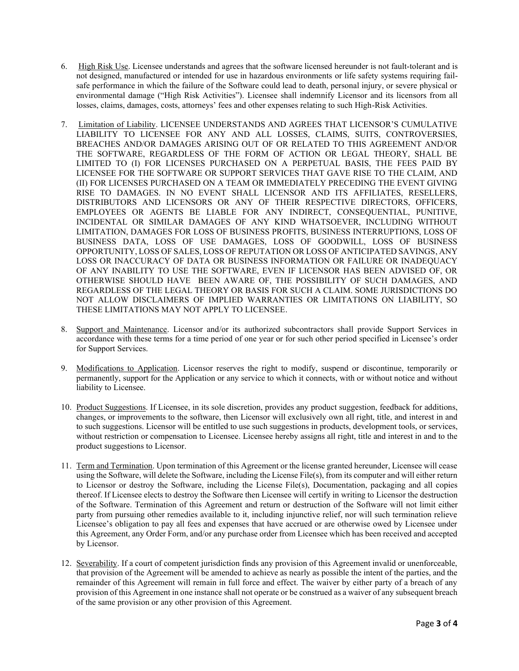- 6. High Risk Use. Licensee understands and agrees that the software licensed hereunder is not fault-tolerant and is not designed, manufactured or intended for use in hazardous environments or life safety systems requiring failsafe performance in which the failure of the Software could lead to death, personal injury, or severe physical or environmental damage ("High Risk Activities"). Licensee shall indemnify Licensor and its licensors from all losses, claims, damages, costs, attorneys' fees and other expenses relating to such High-Risk Activities.
- 7. Limitation of Liability. LICENSEE UNDERSTANDS AND AGREES THAT LICENSOR'S CUMULATIVE LIABILITY TO LICENSEE FOR ANY AND ALL LOSSES, CLAIMS, SUITS, CONTROVERSIES, BREACHES AND/OR DAMAGES ARISING OUT OF OR RELATED TO THIS AGREEMENT AND/OR THE SOFTWARE, REGARDLESS OF THE FORM OF ACTION OR LEGAL THEORY, SHALL BE LIMITED TO (I) FOR LICENSES PURCHASED ON A PERPETUAL BASIS, THE FEES PAID BY LICENSEE FOR THE SOFTWARE OR SUPPORT SERVICES THAT GAVE RISE TO THE CLAIM, AND (II) FOR LICENSES PURCHASED ON A TEAM OR IMMEDIATELY PRECEDING THE EVENT GIVING RISE TO DAMAGES. IN NO EVENT SHALL LICENSOR AND ITS AFFILIATES, RESELLERS, DISTRIBUTORS AND LICENSORS OR ANY OF THEIR RESPECTIVE DIRECTORS, OFFICERS, EMPLOYEES OR AGENTS BE LIABLE FOR ANY INDIRECT, CONSEQUENTIAL, PUNITIVE, INCIDENTAL OR SIMILAR DAMAGES OF ANY KIND WHATSOEVER, INCLUDING WITHOUT LIMITATION, DAMAGES FOR LOSS OF BUSINESS PROFITS, BUSINESS INTERRUPTIONS, LOSS OF BUSINESS DATA, LOSS OF USE DAMAGES, LOSS OF GOODWILL, LOSS OF BUSINESS OPPORTUNITY, LOSS OF SALES, LOSS OF REPUTATION OR LOSS OF ANTICIPATED SAVINGS, ANY LOSS OR INACCURACY OF DATA OR BUSINESS INFORMATION OR FAILURE OR INADEQUACY OF ANY INABILITY TO USE THE SOFTWARE, EVEN IF LICENSOR HAS BEEN ADVISED OF, OR OTHERWISE SHOULD HAVE BEEN AWARE OF, THE POSSIBILITY OF SUCH DAMAGES, AND REGARDLESS OF THE LEGAL THEORY OR BASIS FOR SUCH A CLAIM. SOME JURISDICTIONS DO NOT ALLOW DISCLAIMERS OF IMPLIED WARRANTIES OR LIMITATIONS ON LIABILITY, SO THESE LIMITATIONS MAY NOT APPLY TO LICENSEE.
- 8. Support and Maintenance. Licensor and/or its authorized subcontractors shall provide Support Services in accordance with these terms for a time period of one year or for such other period specified in Licensee's order for Support Services.
- 9. Modifications to Application. Licensor reserves the right to modify, suspend or discontinue, temporarily or permanently, support for the Application or any service to which it connects, with or without notice and without liability to Licensee.
- 10. Product Suggestions. If Licensee, in its sole discretion, provides any product suggestion, feedback for additions, changes, or improvements to the software, then Licensor will exclusively own all right, title, and interest in and to such suggestions. Licensor will be entitled to use such suggestions in products, development tools, or services, without restriction or compensation to Licensee. Licensee hereby assigns all right, title and interest in and to the product suggestions to Licensor.
- 11. Term and Termination. Upon termination of this Agreement or the license granted hereunder, Licensee will cease using the Software, will delete the Software, including the License File(s), from its computer and will either return to Licensor or destroy the Software, including the License File(s), Documentation, packaging and all copies thereof. If Licensee elects to destroy the Software then Licensee will certify in writing to Licensor the destruction of the Software. Termination of this Agreement and return or destruction of the Software will not limit either party from pursuing other remedies available to it, including injunctive relief, nor will such termination relieve Licensee's obligation to pay all fees and expenses that have accrued or are otherwise owed by Licensee under this Agreement, any Order Form, and/or any purchase order from Licensee which has been received and accepted by Licensor.
- 12. Severability. If a court of competent jurisdiction finds any provision of this Agreement invalid or unenforceable, that provision of the Agreement will be amended to achieve as nearly as possible the intent of the parties, and the remainder of this Agreement will remain in full force and effect. The waiver by either party of a breach of any provision of this Agreement in one instance shall not operate or be construed as a waiver of any subsequent breach of the same provision or any other provision of this Agreement.